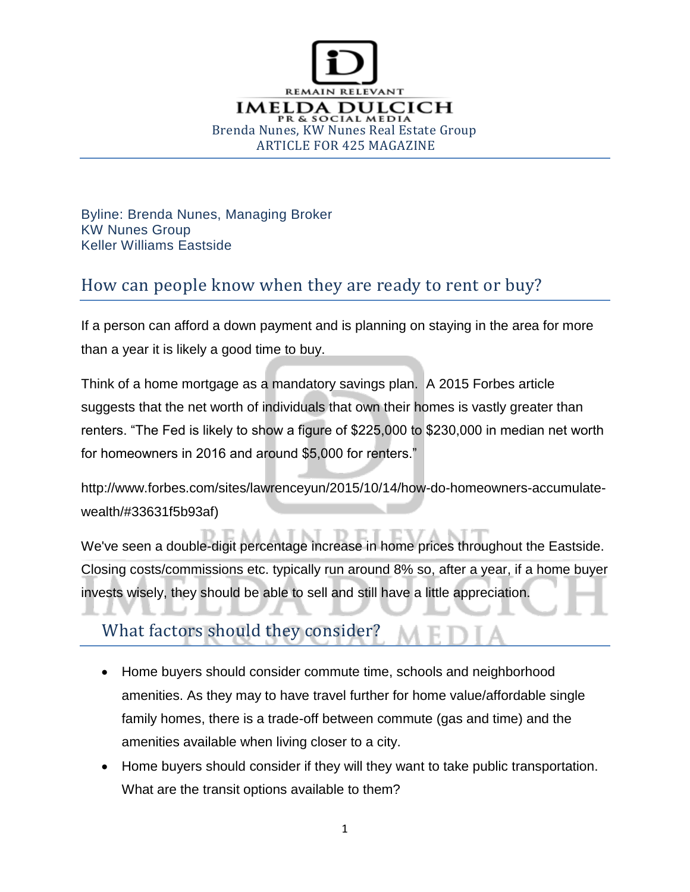

Byline: Brenda Nunes, Managing Broker KW Nunes Group Keller Williams Eastside

#### How can people know when they are ready to rent or buy?

If a person can afford a down payment and is planning on staying in the area for more than a year it is likely a good time to buy.

Think of a home mortgage as a mandatory savings plan. A 2015 Forbes article suggests that the net worth of individuals that own their homes is vastly greater than renters. "The Fed is likely to show a figure of \$225,000 to \$230,000 in median net worth for homeowners in 2016 and around \$5,000 for renters."

http://www.forbes.com/sites/lawrenceyun/2015/10/14/how-do-homeowners-accumulatewealth/#33631f5b93af)

We've seen a double-digit percentage increase in home prices throughout the Eastside. Closing costs/commissions etc. typically run around 8% so, after a year, if a home buyer invests wisely, they should be able to sell and still have a little appreciation.

## What factors should they consider?

- Home buyers should consider commute time, schools and neighborhood amenities. As they may to have travel further for home value/affordable single family homes, there is a trade-off between commute (gas and time) and the amenities available when living closer to a city.
- Home buyers should consider if they will they want to take public transportation. What are the transit options available to them?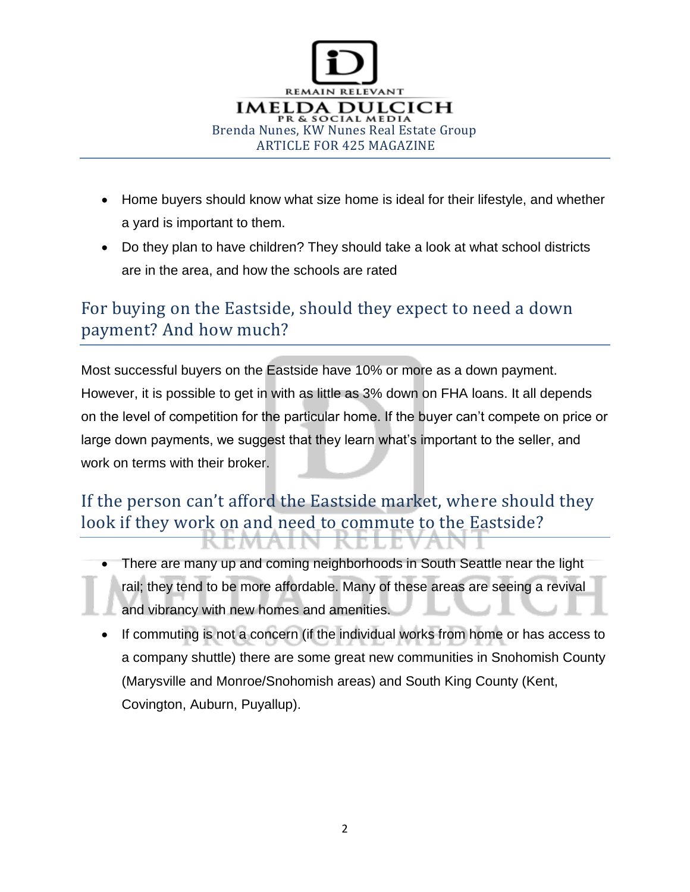

- Home buyers should know what size home is ideal for their lifestyle, and whether a yard is important to them.
- Do they plan to have children? They should take a look at what school districts are in the area, and how the schools are rated

#### For buying on the Eastside, should they expect to need a down payment? And how much?

Most successful buyers on the Eastside have 10% or more as a down payment. However, it is possible to get in with as little as 3% down on FHA loans. It all depends on the level of competition for the particular home. If the buyer can't compete on price or large down payments, we suggest that they learn what's important to the seller, and work on terms with their broker.

## If the person can't afford the Eastside market, where should they look if they work on and need to commute to the Eastside?

- There are many up and coming neighborhoods in South Seattle near the light rail; they tend to be more affordable. Many of these areas are seeing a revival and vibrancy with new homes and amenities.
- If commuting is not a concern (if the individual works from home or has access to a company shuttle) there are some great new communities in Snohomish County (Marysville and Monroe/Snohomish areas) and South King County (Kent, Covington, Auburn, Puyallup).